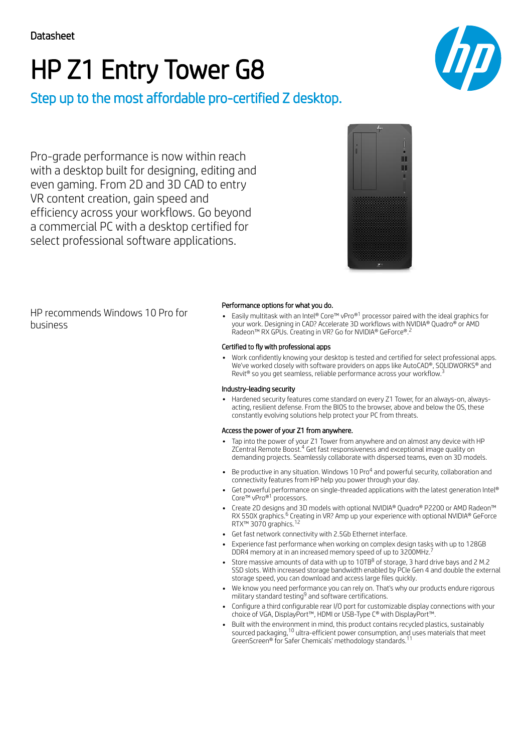# HP Z1 Entry Tower G8



Pro-grade performance is now within reach with a desktop built for designing, editing and even gaming. From 2D and 3D CAD to entry VR content creation, gain speed and efficiency across your workflows. Go beyond a commercial PC with a desktop certified for select professional software applications.



HP recommends Windows 10 Pro for business

### Performance options for what you do.

Easily multitask with an Intel® Core™ vPro®<sup>1</sup> processor paired with the ideal graphics for your work. Designing in CAD? Accelerate 3D workflows with NVIDIA® Quadro® or AMD Radeon™ RX GPUs. Creating in VR? Go for NVIDIA® GeForce®. 2

### Certified to fly with professional apps

Work confidently knowing your desktop is tested and certified for select professional apps. We've worked closely with software providers on apps like AutoCAD®, SOLIDWORKS® and Revit<sup>®</sup> so you get seamless, reliable performance across your workflow.<sup>3</sup>

### Industry-leading security

Hardened security features come standard on every Z1 Tower, for an always-on, alwaysacting, resilient defense. From the BIOS to the browser, above and below the OS, these constantly evolving solutions help protect your PC from threats.

### Access the power of your Z1 from anywhere.

- Tap into the power of your Z1 Tower from anywhere and on almost any device with HP ZCentral Remote Boost.<sup>4</sup> Get fast responsiveness and exceptional image quality on demanding projects. Seamlessly collaborate with dispersed teams, even on 3D models.
- Be productive in any situation. Windows 10 Pro<sup>4</sup> and powerful security, collaboration and connectivity features from HP help you power through your day.
- Get powerful performance on single-threaded applications with the latest generation Intel® Core™ vPro®<sup>1</sup> processors.
- Create 2D designs and 3D models with optional NVIDIA® Quadro® P2200 or AMD Radeon™ RX 550X graphics.<sup>6</sup> Creating in VR? Amp up your experience with optional NVIDIA® GeForce RTX™ 3070 graphics.<sup>12</sup>
- Get fast network connectivity with 2.5Gb Ethernet interface.
- Experience fast performance when working on complex design tasks with up to 128GB<br>DDR4 memory at in an increased memory speed of up to 3200MHz <sup>7</sup> DDR4 memory at in an increased memory speed of up to 3200MHz.
- Store massive amounts of data with up to 10TB $^8$  of storage, 3 hard drive bays and 2 M.2  $\,$ SSD slots. With increased storage bandwidth enabled by PCIe Gen 4 and double the external storage speed, you can download and access large files quickly.
- We know you need performance you can rely on. That's why our products endure rigorous military standard testing<sup>9</sup> and software certifications.
- Configure a third configurable rear I/O port for customizable display connections with your choice of VGA, DisplayPort™, HDMI or USB-Type C® with DisplayPort™.
- Built with the environment in mind, this product contains recycled plastics, sustainably sourced packaging, $^{10}$  ultra-efficient power consumption, and uses materials that meet GreenScreen® for Safer Chemicals' methodology standards. 11

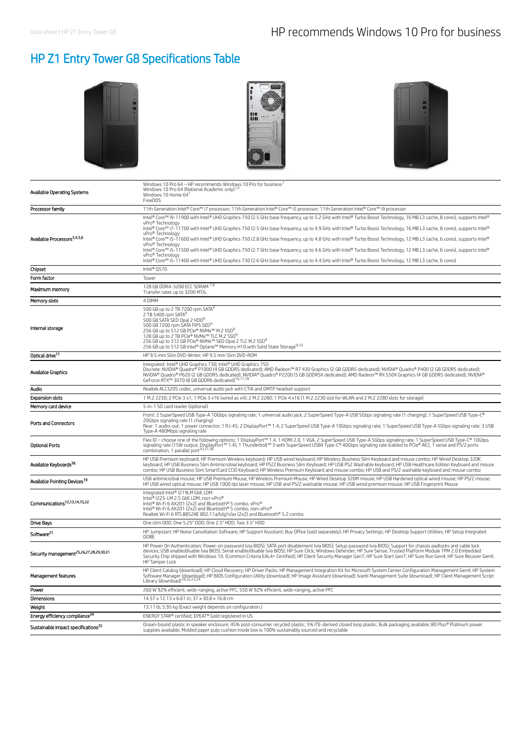# HP Z1 Entry Tower G8 Specifications Table







| Available Operating Systems                         | Windows 10 Pro 64 - HP recommends Windows 10 Pro for business <sup>1</sup><br>Windows 10 Pro 64 (National Academic only) <sup>1,4</sup><br>Windows 10 Home 64<br>FreeDOS                                                                                                                                                                                                                                                                                                                                                                                                                                                                                                                                                                                                                                                                                                                                                                           |
|-----------------------------------------------------|----------------------------------------------------------------------------------------------------------------------------------------------------------------------------------------------------------------------------------------------------------------------------------------------------------------------------------------------------------------------------------------------------------------------------------------------------------------------------------------------------------------------------------------------------------------------------------------------------------------------------------------------------------------------------------------------------------------------------------------------------------------------------------------------------------------------------------------------------------------------------------------------------------------------------------------------------|
| Processor family                                    | 11th Generation Intel® Core™ i7 processor; 11th Generation Intel® Core™ i5 processor; 11th Generation Intel® Core™ i9 processor                                                                                                                                                                                                                                                                                                                                                                                                                                                                                                                                                                                                                                                                                                                                                                                                                    |
| Available Processors <sup>3,4,5,6</sup>             | Intel® Core™ i9-11900 with Intel® UHD Graphics 750 (2.5 GHz base frequency, up to 5.2 GHz with Intel® Turbo Boost Technology, 16 MB L3 cache, 8 cores), supports Intel®<br>vPro® Technology<br>Intel® Core™ i7-11700 with Intel® UHD Graphics 750 (2.5 GHz base frequency, up to 4.9 GHz with Intel® Turbo Boost Technology, 16 MB L3 cache, 8 cores), supports Intel®<br>vPro® Technology<br>Intel® Core™ i5-11600 with Intel® UHD Graphics 750 (2.8 GHz base frequency, up to 4.8 GHz with Intel® Turbo Boost Technology, 12 MB L3 cache, 6 cores), supports Intel®<br>vPro® Technology<br>Intel® Core™ i5-11500 with Intel® UHD Graphics 750 (2.7 GHz base frequency, up to 4.6 GHz with Intel® Turbo Boost Technology, 12 MB L3 cache, 6 cores), supports Intel®<br>vPro® Technology<br>Intel® Core™ i5-11400 with Intel® UHD Graphics 730 (2.6 GHz base frequency, up to 4.4 GHz with Intel® Turbo Boost Technology, 12 MB L3 cache, 6 cores) |
| Chipset                                             | Intel® Q570                                                                                                                                                                                                                                                                                                                                                                                                                                                                                                                                                                                                                                                                                                                                                                                                                                                                                                                                        |
| Form factor                                         | Tower                                                                                                                                                                                                                                                                                                                                                                                                                                                                                                                                                                                                                                                                                                                                                                                                                                                                                                                                              |
| Maximum memory                                      | 128 GB DDR4-3200 ECC SDRAM 7,8<br>Transfer rates up to 3200 MT/s                                                                                                                                                                                                                                                                                                                                                                                                                                                                                                                                                                                                                                                                                                                                                                                                                                                                                   |
| Memory slots                                        | 4 DIMM                                                                                                                                                                                                                                                                                                                                                                                                                                                                                                                                                                                                                                                                                                                                                                                                                                                                                                                                             |
| Internal storage                                    | 500 GB up to 2 TB 7200 rpm SATA <sup>9</sup><br>2 TB 5400 rpm SATA <sup>5</sup><br>500 GB SATA SED Opal 2 HDD <sup>9</sup><br>500 GB 7200 rpm SATA FIPS SED <sup>9</sup><br>256 GB up to 512 GB PCIe® NVMe™ M.2 SSD <sup>9</sup><br>128 GB up to 2 TB PCIe® NVMe™ TLC M.2 SSD <sup>9</sup><br>256 GB up to 512 GB PCIe® NVMe™ SED Opal 2 TLC M.2 SSD <sup>9</sup><br>256 GB up to 512 GB Intel® Optane™ Memory H10 with Solid State Storage <sup>9,10</sup>                                                                                                                                                                                                                                                                                                                                                                                                                                                                                        |
| Optical drive <sup>11</sup>                         | HP 9.5 mm Slim DVD-Writer; HP 9.5 mm Slim DVD-ROM                                                                                                                                                                                                                                                                                                                                                                                                                                                                                                                                                                                                                                                                                                                                                                                                                                                                                                  |
| Available Graphics                                  | Integrated: Intel® UHD Graphics 730; Intel® UHD Graphics 750<br>Discrete: NVIDIA® Quadro® P1000 (4 GB GDDR5 dedicated); AMD Radeon™ R7 430 Graphics (2 GB GDDR5 dedicated); NVIDIA® Quadro® P400 (2 GB GDDR5 dedicated);<br>NVIDIA® Quadro® P620 (2 GB GDDRS dedicated); NVIDIA® Quadro® P2200 (S GB GDDRSX dedicated); AMD Radeon™ RX 550X Graphics (4 GB GDDRS dedicated); NVIDIA®<br>GeForce RTX™ 3070 (8 GB GDDR6 dedicated) <sup>; 6,17,39</sup>                                                                                                                                                                                                                                                                                                                                                                                                                                                                                              |
| Audio                                               | Realtek ALC3205 codec, universal audio jack with CTIA and OMTP headset support                                                                                                                                                                                                                                                                                                                                                                                                                                                                                                                                                                                                                                                                                                                                                                                                                                                                     |
| <b>Expansion slots</b>                              | 1 M.2 2230; 2 PCIe 3 x1; 1 PCIe 3 x16 (wired as x4); 2 M.2 2280; 1 PCIe 4 x16 (1 M.2 2230 slot for WLAN and 2 M.2 2280 slots for storage)                                                                                                                                                                                                                                                                                                                                                                                                                                                                                                                                                                                                                                                                                                                                                                                                          |
| Memory card device                                  | 5-in-1 SD card reader (optional)                                                                                                                                                                                                                                                                                                                                                                                                                                                                                                                                                                                                                                                                                                                                                                                                                                                                                                                   |
| Ports and Connectors                                | Front: 2 SuperSpeed USB Type-A 10Gbps signaling rate; 1 universal audio jack; 2 SuperSpeed Type-A USB 5Gbps signaling rate (1 charging); 1 SuperSpeed USB Type-C®<br>20Gbps signaling rate (1 charging)<br>Rear: 1 audio-out; 1 power connector; 1 RJ-45; 2 DisplayPort™ 1.4; 2 SuperSpeed USB Type-A 10Gbps signaling rate; 1 SuperSpeed USB Type-A 5Gbps signaling rate; 3 USB<br>Type-A 480Mbps signaling rate                                                                                                                                                                                                                                                                                                                                                                                                                                                                                                                                  |
| <b>Optional Ports</b>                               | Flex IO - choose one of the following options: 1 DisplayPort™ 1.4, 1 HDMI 2.0, 1 VGA, 2 SuperSpeed USB Type-A 5Gbps signaling rate, 1 SuperSpeed USB Type-C® 10Gbps<br>signaling rate (15W output, DisplayPort <sup>tM</sup> 1.4), 1 Thunderbolt <sup>m</sup> 3 with SuperSpeed USB4 Type-C® 40Gbps signaling rate (cabled to PCle® AIC), 1 serial and PS/2 ports                                                                                                                                                                                                                                                                                                                                                                                                                                                                                                                                                                                  |
| Available Keyboards <sup>36</sup>                   | HP USB Premium keyboard; HP Premium Wireless keyboard; HP USB wired keyboard; HP Wireless Business Slim Keyboard and mouse combo; HP Wired Desktop 320K<br>keyboard: HP USB Business Slim Antimicrobial keyboard: HP PS/2 Business Slim Keyboard: HP USB PS2 Washable keyboard: HP USB Healthcare Edition Keyboard and mouse<br>combo; HP USB Business Slim SmartCard CCID Keyboard; HP Wireless Premium Keyboard and mouse combo; HP USB and PS/2 washable keyboard and mouse combo                                                                                                                                                                                                                                                                                                                                                                                                                                                               |
| Available Pointing Devices <sup>19</sup>            | USB antimicrobial mouse; HP USB Premium Mouse; HP Wireless Premium Mouse; HP Wired Desktop 320M mouse; HP USB Hardened optical wired mouse; HP PS/2 mouse;<br>HP USB wired optical mouse; HP USB 1000 dpi laser mouse; HP USB and PS/2 washable mouse; HP USB wired premium mouse; HP USB Fingerprint Mouse                                                                                                                                                                                                                                                                                                                                                                                                                                                                                                                                                                                                                                        |
| Communications <sup>12,13,14,15,32</sup>            | Integrated Intel® I219LM GbE LOM<br>Intel® I225-LM 2.5 GbE LOM, non-vPro®<br>Intel® Wi-Fi 6 AX201 (2x2) and Bluetooth® 5 combo, vPro®<br>Intel® Wi-Fi 6 AX201 (2x2) and Bluetooth® 5 combo, non-vPro®<br>Realtek Wi-Fi 6 RTL8852AE 802.11a/b/g/n/ax (2x2) and Bluetooth® 5.2 combo                                                                                                                                                                                                                                                                                                                                                                                                                                                                                                                                                                                                                                                                 |
| <b>Drive Bays</b>                                   | One slim ODD; One 5.25" ODD; One 2.5" HDD; Two 3.5" HDD                                                                                                                                                                                                                                                                                                                                                                                                                                                                                                                                                                                                                                                                                                                                                                                                                                                                                            |
| Software <sup>21</sup>                              | HP Jumpstart; HP Noise Cancellation Software; HP Support Assistant; Buy Office (sold separately); HP Privacy Settings; HP Desktop Support Utilities; HP Setup Integrated<br>00BE                                                                                                                                                                                                                                                                                                                                                                                                                                                                                                                                                                                                                                                                                                                                                                   |
| Security management <sup>25,26,27,28,29,30,31</sup> | HP Power On Authentication; Power-on password (via BIOS); SATA port disablement (via BIOS); Setup password (via BIOS); Support for chassis padlocks and cable lock<br>devices; USB enable/disable (via BIOS); Serial enable/disable (via BIOS); HP Sure Click; Windows Defender; HP Sure Sense; Trusted Platform Module TPM 2.0 Embedded<br>Security Chip shipped with Windows 10. (Common Criteria EAL4+ Certified); HP Client Security Manager Gen7; HP Sure Start Gen7; HP Sure Run Gen4; HP Sure Recover Gen4;<br>HP Tamper Lock                                                                                                                                                                                                                                                                                                                                                                                                               |
| Management features                                 | HP Client Catalog (download); HP Cloud Recovery; HP Driver Packs; HP Management Integration Kit for Microsoft System Center Configuration Management Gen4; HP System<br>Software Manager (download); HP BIOS Configuration Utility (download); HP Image Assistant (download); Ivanti Management Suite (download); HP Client Management Script                                                                                                                                                                                                                                                                                                                                                                                                                                                                                                                                                                                                      |
| Power                                               | 260 W 92% efficient, wide-ranging, active PFC; 550 W 92% efficient, wide-ranging, active PFC                                                                                                                                                                                                                                                                                                                                                                                                                                                                                                                                                                                                                                                                                                                                                                                                                                                       |
| Dimensions                                          | 14.57 x 12.13 x 6.61 in; 37 x 30.8 x 16.8 cm                                                                                                                                                                                                                                                                                                                                                                                                                                                                                                                                                                                                                                                                                                                                                                                                                                                                                                       |
| Weight                                              | 13.11 lb; 5.95 kg (Exact weight depends on configuration.)                                                                                                                                                                                                                                                                                                                                                                                                                                                                                                                                                                                                                                                                                                                                                                                                                                                                                         |
| Energy efficiency compliance <sup>34</sup>          | ENERGY STAR® certified; EPEAT® Gold registered in US                                                                                                                                                                                                                                                                                                                                                                                                                                                                                                                                                                                                                                                                                                                                                                                                                                                                                               |
| Sustainable impact specifications <sup>35</sup>     | Ocean-bound plastic in speaker enclosure; 45% post-consumer recycled plastic; 5% ITE-derived closed loop plastic; Bulk packaging available; 80 Plus® Platinum power<br>supplies available; Molded paper pulp cushion inside box is 100% sustainably sourced and recyclable                                                                                                                                                                                                                                                                                                                                                                                                                                                                                                                                                                                                                                                                         |